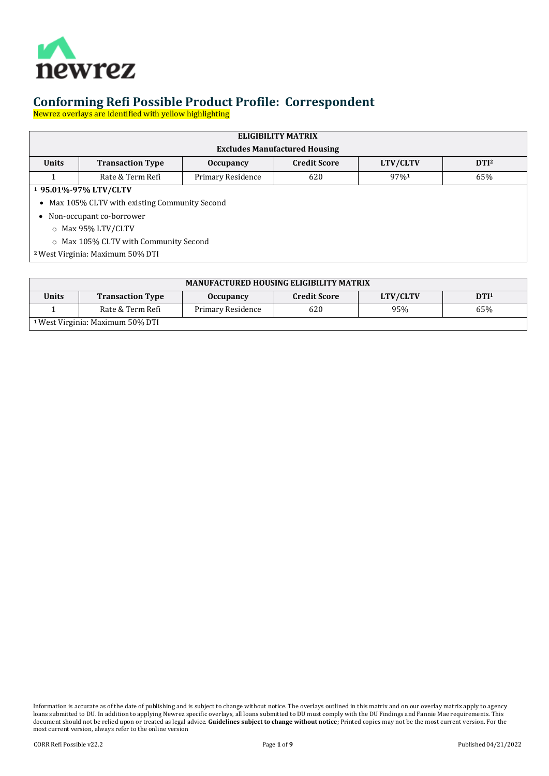

Newrez overlays are identified with yellow highlighting

| ELIGIBILITY MATRIX<br><b>Excludes Manufactured Housing</b> |                                                                                                    |                   |     |      |     |  |  |
|------------------------------------------------------------|----------------------------------------------------------------------------------------------------|-------------------|-----|------|-----|--|--|
| <b>Units</b>                                               | <b>Credit Score</b><br><b>Transaction Type</b><br>LTV/CLTV<br>DTI <sup>2</sup><br><b>Occupancy</b> |                   |     |      |     |  |  |
|                                                            | Rate & Term Refi                                                                                   | Primary Residence | 620 | 97%1 | 65% |  |  |
|                                                            | <sup>1</sup> 95.01%-97% LTV/CLTV                                                                   |                   |     |      |     |  |  |
| Max 105% CLTV with existing Community Second<br>$\bullet$  |                                                                                                    |                   |     |      |     |  |  |
| Non-occupant co-borrower                                   |                                                                                                    |                   |     |      |     |  |  |
| $\circ$ Max 95% LTV/CLTV                                   |                                                                                                    |                   |     |      |     |  |  |
| $\circ$ Max 105% CLTV with Community Second                |                                                                                                    |                   |     |      |     |  |  |
| <sup>2</sup> West Virginia: Maximum 50% DTI                |                                                                                                    |                   |     |      |     |  |  |

| <b>MANUFACTURED HOUSING ELIGIBILITY MATRIX</b> |                         |                   |                     |          |                  |
|------------------------------------------------|-------------------------|-------------------|---------------------|----------|------------------|
| <b>Units</b>                                   | <b>Transaction Type</b> | <b>Occupancy</b>  | <b>Credit Score</b> | LTV/CLTV | DTI <sup>1</sup> |
|                                                | Rate & Term Refi        | Primary Residence | 620                 | 95%      | 65%              |
| <sup>1</sup> West Virginia: Maximum 50% DTI    |                         |                   |                     |          |                  |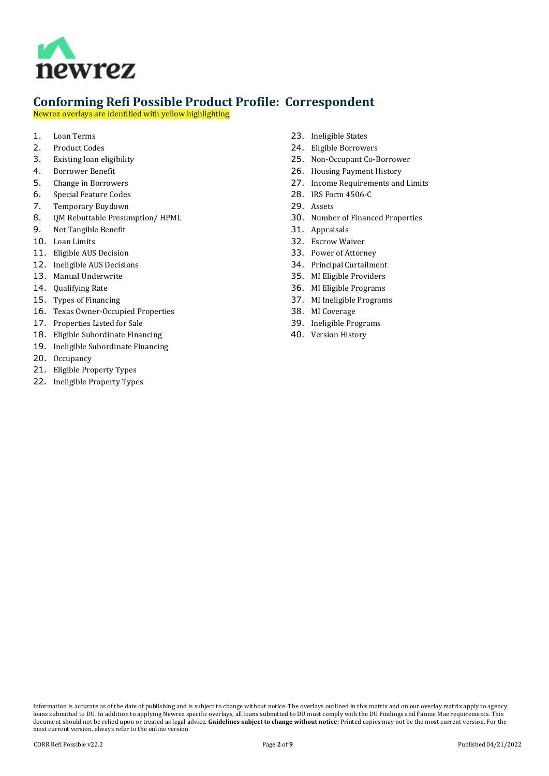

Newrez overlays are identified with yellow highlighting

- 1. [Loan Terms](#page-2-0)<br>2. Product Cod
- 2. [Product Codes](#page-2-1)<br>3. Existing loan el
- [Existing loan eligibility](#page-2-2)
- 4. [Borrower Benefit](#page-2-3)
- 5. [Change in Borrowers](#page-2-4)
- 6. [Special Feature Codes](#page-2-5)<br>7. Temporary Buydown
- 7. [Temporary Buydown](#page-2-6)
- 8. QM Rebuttable Presumption/HPML<br>9. Net Tangible Benefit
- 9. [Net Tangible Benefit](#page-2-8)
- 10. [Loan Limits](#page-3-0)
- 11. [Eligible AUS Decision](#page-3-1)
- 12. [Ineligible AUS Decisions](#page-3-2)
- 13. [Manual Underwrite](#page-3-3)
- 14. [Qualifying Rate](#page-3-4)
- 15. [Types of Financing](#page-3-5)
- 16. [Texas Owner-Occupied Properties](#page-3-6)
- 17. [Properties Listed for Sale](#page-4-0)
- 18. [Eligible Subordinate Financing](#page-4-1)
- 19. [Ineligible Subordinate Financing](#page-4-2)
- 20. [Occupancy](#page-4-3)
- 21. [Eligible Property Types](#page-4-4)
- 22. [Ineligible Property Types](#page-4-5)
- 23. [Ineligible States](#page-4-6)
- 24. [Eligible Borrowers](#page-4-7)
- 25. [Non-Occupant Co-Borrower](#page-5-0)
- 26. [Housing Payment History](#page-5-1)
- 27. [Income Requirements and Limits](#page-5-2)
- 28. [IRS Form 4506-C](#page-5-3)
- 29. [Assets](#page-6-0)
- 30. [Number of Financed Properties](#page-6-1)
- 31. [Appraisals](#page-6-2)
- 32. [Escrow Waiver](#page-6-3)
- 33. [Power of Attorney](#page-6-4)
- 34. [Principal Curtailment](#page-6-5)
- 35. [MI Eligible Providers](#page-6-6)
- 36. [MI Eligible Programs](#page-6-7)
- 37. [MI Ineligible Programs](#page-6-8)
- 38. [MI Coverage](#page-6-9)
- 39. [Ineligible Programs](#page-7-0)
- 40. [Version History](#page-7-1)

Information is accurate as of the date of publishing and is subject to change without notice. The overlays outlined in this matrix and on our overlay matrix apply to agency loans submitted to DU. In addition to applying Newrez specific overlays, all loans submitted to DU must comply with the DU Findings and Fannie Mae requirements. This document should not be relied upon or treated as legal advice. **Guidelines subject to change without notice**; Printed copies may not be the most current version. For the most current version, always refer to the online version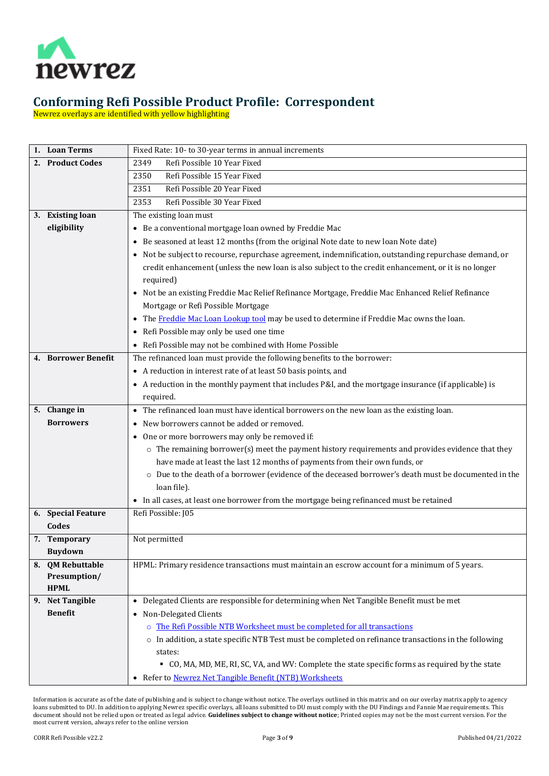

Newrez overlays are identified with yellow highlighting

<span id="page-2-8"></span><span id="page-2-7"></span><span id="page-2-6"></span><span id="page-2-5"></span><span id="page-2-4"></span><span id="page-2-3"></span><span id="page-2-2"></span><span id="page-2-1"></span><span id="page-2-0"></span>

|    | 1. Loan Terms        | Fixed Rate: 10- to 30-year terms in annual increments                                                                |
|----|----------------------|----------------------------------------------------------------------------------------------------------------------|
|    | 2. Product Codes     | Refi Possible 10 Year Fixed<br>2349                                                                                  |
|    |                      | Refi Possible 15 Year Fixed<br>2350                                                                                  |
|    |                      | Refi Possible 20 Year Fixed<br>2351                                                                                  |
|    |                      | Refi Possible 30 Year Fixed<br>2353                                                                                  |
|    | 3. Existing loan     | The existing loan must                                                                                               |
|    | eligibility          | • Be a conventional mortgage loan owned by Freddie Mac                                                               |
|    |                      | • Be seasoned at least 12 months (from the original Note date to new loan Note date)                                 |
|    |                      | • Not be subject to recourse, repurchase agreement, indemnification, outstanding repurchase demand, or               |
|    |                      | credit enhancement (unless the new loan is also subject to the credit enhancement, or it is no longer                |
|    |                      | required)                                                                                                            |
|    |                      | • Not be an existing Freddie Mac Relief Refinance Mortgage, Freddie Mac Enhanced Relief Refinance                    |
|    |                      | Mortgage or Refi Possible Mortgage                                                                                   |
|    |                      | • The Freddie Mac Loan Lookup tool may be used to determine if Freddie Mac owns the loan.                            |
|    |                      | • Refi Possible may only be used one time                                                                            |
|    |                      | • Refi Possible may not be combined with Home Possible                                                               |
|    | 4. Borrower Benefit  | The refinanced loan must provide the following benefits to the borrower:                                             |
|    |                      | • A reduction in interest rate of at least 50 basis points, and                                                      |
|    |                      | • A reduction in the monthly payment that includes P&I, and the mortgage insurance (if applicable) is                |
|    |                      | required.                                                                                                            |
|    | 5. Change in         | • The refinanced loan must have identical borrowers on the new loan as the existing loan.                            |
|    | <b>Borrowers</b>     | • New borrowers cannot be added or removed.                                                                          |
|    |                      | • One or more borrowers may only be removed if:                                                                      |
|    |                      | $\circ$ The remaining borrower(s) meet the payment history requirements and provides evidence that they              |
|    |                      | have made at least the last 12 months of payments from their own funds, or                                           |
|    |                      | o Due to the death of a borrower (evidence of the deceased borrower's death must be documented in the<br>loan file). |
|    |                      | • In all cases, at least one borrower from the mortgage being refinanced must be retained                            |
|    | 6. Special Feature   | Refi Possible: J05                                                                                                   |
|    | Codes                |                                                                                                                      |
|    | 7. Temporary         | Not permitted                                                                                                        |
|    | <b>Buydown</b>       |                                                                                                                      |
| 8. | <b>QM Rebuttable</b> | HPML: Primary residence transactions must maintain an escrow account for a minimum of 5 years.                       |
|    | Presumption/         |                                                                                                                      |
|    | <b>HPML</b>          |                                                                                                                      |
|    | 9. Net Tangible      | • Delegated Clients are responsible for determining when Net Tangible Benefit must be met                            |
|    | <b>Benefit</b>       | Non-Delegated Clients<br>$\bullet$                                                                                   |
|    |                      | o The Refi Possible NTB Worksheet must be completed for all transactions                                             |
|    |                      | o In addition, a state specific NTB Test must be completed on refinance transactions in the following                |
|    |                      | states:                                                                                                              |
|    |                      | • CO, MA, MD, ME, RI, SC, VA, and WV: Complete the state specific forms as required by the state                     |
|    |                      | Refer to Newrez Net Tangible Benefit (NTB) Worksheets<br>$\bullet$                                                   |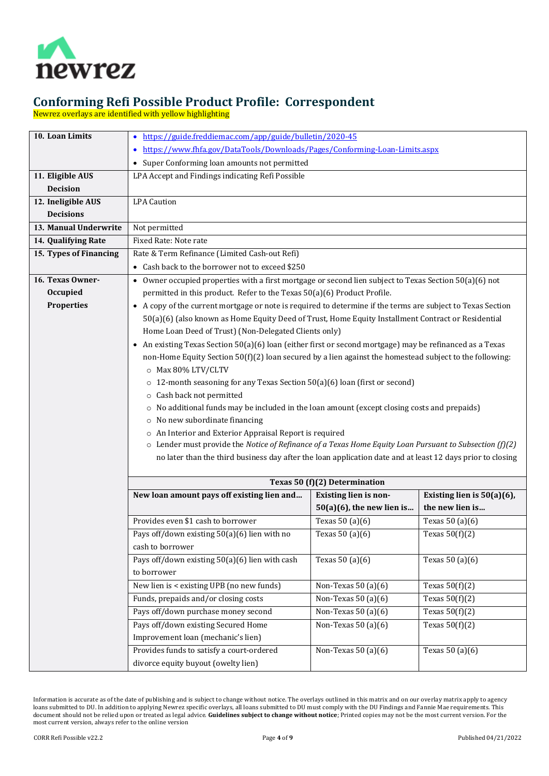

Newrez overlays are identified with yellow highlighting

<span id="page-3-6"></span><span id="page-3-5"></span><span id="page-3-4"></span><span id="page-3-3"></span><span id="page-3-2"></span><span id="page-3-1"></span><span id="page-3-0"></span>

| 10. Loan Limits        | • https://guide.freddiemac.com/app/guide/bulletin/2020-45                                                     |                               |                               |  |
|------------------------|---------------------------------------------------------------------------------------------------------------|-------------------------------|-------------------------------|--|
|                        | https://www.fhfa.gov/DataTools/Downloads/Pages/Conforming-Loan-Limits.aspx                                    |                               |                               |  |
|                        | • Super Conforming loan amounts not permitted                                                                 |                               |                               |  |
| 11. Eligible AUS       | LPA Accept and Findings indicating Refi Possible                                                              |                               |                               |  |
| <b>Decision</b>        |                                                                                                               |                               |                               |  |
| 12. Ineligible AUS     | <b>LPA</b> Caution                                                                                            |                               |                               |  |
| <b>Decisions</b>       |                                                                                                               |                               |                               |  |
| 13. Manual Underwrite  | Not permitted                                                                                                 |                               |                               |  |
| 14. Qualifying Rate    | Fixed Rate: Note rate                                                                                         |                               |                               |  |
| 15. Types of Financing | Rate & Term Refinance (Limited Cash-out Refi)                                                                 |                               |                               |  |
|                        | • Cash back to the borrower not to exceed \$250                                                               |                               |                               |  |
| 16. Texas Owner-       | • Owner occupied properties with a first mortgage or second lien subject to Texas Section 50(a)(6) not        |                               |                               |  |
| Occupied               | permitted in this product. Refer to the Texas 50(a)(6) Product Profile.                                       |                               |                               |  |
| <b>Properties</b>      | • A copy of the current mortgage or note is required to determine if the terms are subject to Texas Section   |                               |                               |  |
|                        | 50(a)(6) (also known as Home Equity Deed of Trust, Home Equity Installment Contract or Residential            |                               |                               |  |
|                        | Home Loan Deed of Trust) (Non-Delegated Clients only)                                                         |                               |                               |  |
|                        | • An existing Texas Section 50(a)(6) loan (either first or second mortgage) may be refinanced as a Texas      |                               |                               |  |
|                        | non-Home Equity Section $50(f)(2)$ loan secured by a lien against the homestead subject to the following:     |                               |                               |  |
|                        | O Max 80% LTV/CLTV                                                                                            |                               |                               |  |
|                        | $\circ$ 12-month seasoning for any Texas Section 50(a)(6) loan (first or second)                              |                               |                               |  |
|                        | o Cash back not permitted                                                                                     |                               |                               |  |
|                        | No additional funds may be included in the loan amount (except closing costs and prepaids)<br>$\circ$         |                               |                               |  |
|                        | o No new subordinate financing                                                                                |                               |                               |  |
|                        | o An Interior and Exterior Appraisal Report is required                                                       |                               |                               |  |
|                        | $\circ$ Lender must provide the Notice of Refinance of a Texas Home Equity Loan Pursuant to Subsection (f)(2) |                               |                               |  |
|                        | no later than the third business day after the loan application date and at least 12 days prior to closing    |                               |                               |  |
|                        |                                                                                                               | Texas 50 (f)(2) Determination |                               |  |
|                        | New loan amount pays off existing lien and                                                                    | Existing lien is non-         | Existing lien is $50(a)(6)$ , |  |
|                        |                                                                                                               | $50(a)(6)$ , the new lien is  | the new lien is               |  |
|                        | Provides even \$1 cash to borrower                                                                            | Texas 50 (a)(6)               | Texas 50 (a)(6)               |  |
|                        | Pays off/down existing 50(a)(6) lien with no                                                                  | Texas $50(a)(6)$              | Texas $50(f)(2)$              |  |
|                        | cash to borrower                                                                                              |                               |                               |  |
|                        | Pays off/down existing 50(a)(6) lien with cash                                                                | Texas $50(a)(6)$              | Texas 50 (a)(6)               |  |
|                        | to borrower                                                                                                   |                               |                               |  |
|                        | New lien is < existing UPB (no new funds)                                                                     | Non-Texas 50 $(a)(6)$         | Texas $50(f)(2)$              |  |
|                        | Funds, prepaids and/or closing costs                                                                          | Non-Texas $50(a)(6)$          | Texas $50(f)(2)$              |  |
|                        | Pays off/down purchase money second                                                                           | Non-Texas $50(a)(6)$          | Texas $50(f)(2)$              |  |
|                        | Pays off/down existing Secured Home                                                                           | Non-Texas 50 $(a)(6)$         | Texas $50(f)(2)$              |  |
|                        | Improvement loan (mechanic's lien)                                                                            |                               |                               |  |
|                        | Provides funds to satisfy a court-ordered                                                                     | Non-Texas $50(a)(6)$          | Texas 50 (a)(6)               |  |
|                        | divorce equity buyout (owelty lien)                                                                           |                               |                               |  |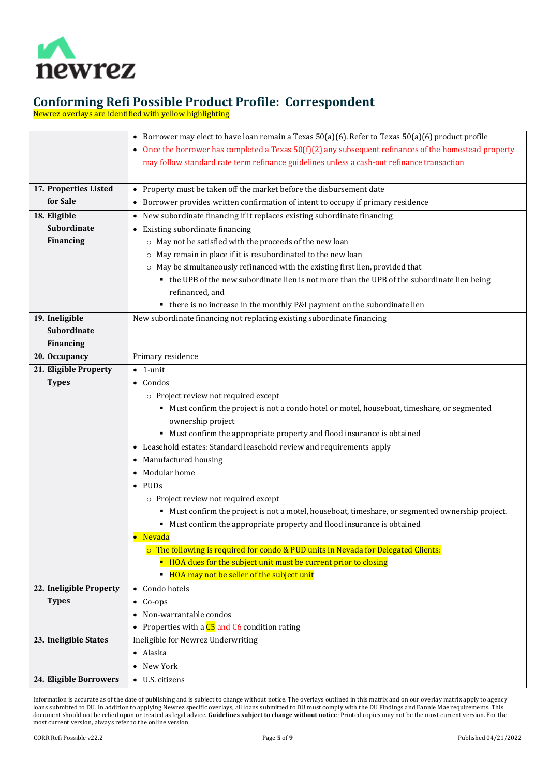

Newrez overlays are identified with yellow highlighting

<span id="page-4-7"></span><span id="page-4-6"></span><span id="page-4-5"></span><span id="page-4-4"></span><span id="page-4-3"></span><span id="page-4-2"></span><span id="page-4-1"></span><span id="page-4-0"></span>

|                         | • Borrower may elect to have loan remain a Texas $50(a)(6)$ . Refer to Texas $50(a)(6)$ product profile  |  |  |
|-------------------------|----------------------------------------------------------------------------------------------------------|--|--|
|                         | • Once the borrower has completed a Texas $50(f)(2)$ any subsequent refinances of the homestead property |  |  |
|                         | may follow standard rate term refinance guidelines unless a cash-out refinance transaction               |  |  |
|                         |                                                                                                          |  |  |
| 17. Properties Listed   | • Property must be taken off the market before the disbursement date                                     |  |  |
| for Sale                | • Borrower provides written confirmation of intent to occupy if primary residence                        |  |  |
| 18. Eligible            | • New subordinate financing if it replaces existing subordinate financing                                |  |  |
| <b>Subordinate</b>      | • Existing subordinate financing                                                                         |  |  |
| <b>Financing</b>        | o May not be satisfied with the proceeds of the new loan                                                 |  |  |
|                         | o May remain in place if it is resubordinated to the new loan                                            |  |  |
|                         | o May be simultaneously refinanced with the existing first lien, provided that                           |  |  |
|                         | • the UPB of the new subordinate lien is not more than the UPB of the subordinate lien being             |  |  |
|                         | refinanced, and                                                                                          |  |  |
|                         | • there is no increase in the monthly P&I payment on the subordinate lien                                |  |  |
| 19. Ineligible          | New subordinate financing not replacing existing subordinate financing                                   |  |  |
| <b>Subordinate</b>      |                                                                                                          |  |  |
| <b>Financing</b>        |                                                                                                          |  |  |
| 20. Occupancy           | Primary residence                                                                                        |  |  |
| 21. Eligible Property   | $\bullet$ 1-unit                                                                                         |  |  |
| <b>Types</b>            | $\bullet$ Condos                                                                                         |  |  |
|                         | o Project review not required except                                                                     |  |  |
|                         | " Must confirm the project is not a condo hotel or motel, houseboat, timeshare, or segmented             |  |  |
|                         | ownership project                                                                                        |  |  |
|                         | " Must confirm the appropriate property and flood insurance is obtained                                  |  |  |
|                         | • Leasehold estates: Standard leasehold review and requirements apply                                    |  |  |
|                         | • Manufactured housing                                                                                   |  |  |
|                         | • Modular home                                                                                           |  |  |
|                         | $\bullet$ PUDs                                                                                           |  |  |
|                         | o Project review not required except                                                                     |  |  |
|                         | " Must confirm the project is not a motel, houseboat, timeshare, or segmented ownership project.         |  |  |
|                         | • Must confirm the appropriate property and flood insurance is obtained                                  |  |  |
|                         | • Nevada                                                                                                 |  |  |
|                         | o The following is required for condo & PUD units in Nevada for Delegated Clients:                       |  |  |
|                         | • HOA dues for the subject unit must be current prior to closing                                         |  |  |
|                         | • HOA may not be seller of the subject unit                                                              |  |  |
| 22. Ineligible Property | • Condo hotels                                                                                           |  |  |
| <b>Types</b>            | $\bullet$ Co-ops                                                                                         |  |  |
|                         | • Non-warrantable condos                                                                                 |  |  |
|                         | • Properties with a $C5$ and $C6$ condition rating                                                       |  |  |
| 23. Ineligible States   | Ineligible for Newrez Underwriting                                                                       |  |  |
|                         | • Alaska                                                                                                 |  |  |
|                         | • New York                                                                                               |  |  |
| 24. Eligible Borrowers  | • U.S. citizens                                                                                          |  |  |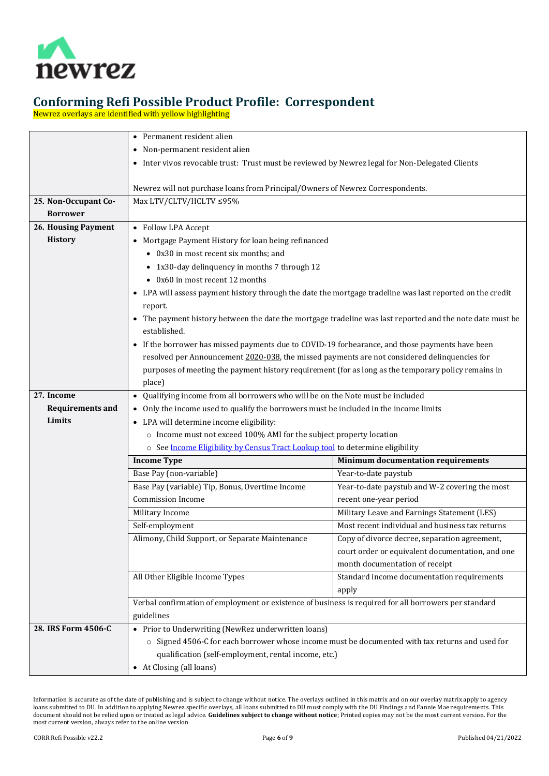

Newrez overlays are identified with yellow highlighting

<span id="page-5-3"></span><span id="page-5-2"></span><span id="page-5-1"></span><span id="page-5-0"></span>

|                         | • Permanent resident alien                                                                                |                                                  |  |
|-------------------------|-----------------------------------------------------------------------------------------------------------|--------------------------------------------------|--|
|                         | • Non-permanent resident alien                                                                            |                                                  |  |
|                         | • Inter vivos revocable trust: Trust must be reviewed by Newrez legal for Non-Delegated Clients           |                                                  |  |
|                         |                                                                                                           |                                                  |  |
|                         | Newrez will not purchase loans from Principal/Owners of Newrez Correspondents.                            |                                                  |  |
| 25. Non-Occupant Co-    | Max LTV/CLTV/HCLTV ≤95%                                                                                   |                                                  |  |
| <b>Borrower</b>         |                                                                                                           |                                                  |  |
| 26. Housing Payment     | • Follow LPA Accept                                                                                       |                                                  |  |
| <b>History</b>          | • Mortgage Payment History for loan being refinanced                                                      |                                                  |  |
|                         | • 0x30 in most recent six months; and                                                                     |                                                  |  |
|                         | • 1x30-day delinquency in months 7 through 12                                                             |                                                  |  |
|                         | • 0x60 in most recent 12 months                                                                           |                                                  |  |
|                         | • LPA will assess payment history through the date the mortgage tradeline was last reported on the credit |                                                  |  |
|                         | report.                                                                                                   |                                                  |  |
|                         | • The payment history between the date the mortgage tradeline was last reported and the note date must be |                                                  |  |
|                         | established.                                                                                              |                                                  |  |
|                         | • If the borrower has missed payments due to COVID-19 forbearance, and those payments have been           |                                                  |  |
|                         | resolved per Announcement 2020-038, the missed payments are not considered delinquencies for              |                                                  |  |
|                         | purposes of meeting the payment history requirement (for as long as the temporary policy remains in       |                                                  |  |
|                         | place)                                                                                                    |                                                  |  |
| 27. Income              | • Qualifying income from all borrowers who will be on the Note must be included                           |                                                  |  |
| <b>Requirements and</b> | • Only the income used to qualify the borrowers must be included in the income limits                     |                                                  |  |
| Limits                  | • LPA will determine income eligibility:                                                                  |                                                  |  |
|                         | o Income must not exceed 100% AMI for the subject property location                                       |                                                  |  |
|                         | o See Income Eligibility by Census Tract Lookup tool to determine eligibility                             |                                                  |  |
|                         | <b>Income Type</b>                                                                                        | <b>Minimum documentation requirements</b>        |  |
|                         | Base Pay (non-variable)                                                                                   | Year-to-date paystub                             |  |
|                         | Base Pay (variable) Tip, Bonus, Overtime Income                                                           | Year-to-date paystub and W-2 covering the most   |  |
|                         | Commission Income                                                                                         | recent one-year period                           |  |
|                         | Military Income                                                                                           | Military Leave and Earnings Statement (LES)      |  |
|                         | Self-employment                                                                                           | Most recent individual and business tax returns  |  |
|                         | Alimony, Child Support, or Separate Maintenance                                                           | Copy of divorce decree, separation agreement,    |  |
|                         |                                                                                                           | court order or equivalent documentation, and one |  |
|                         |                                                                                                           | month documentation of receipt                   |  |
|                         | All Other Eligible Income Types                                                                           | Standard income documentation requirements       |  |
|                         |                                                                                                           | apply                                            |  |
|                         | Verbal confirmation of employment or existence of business is required for all borrowers per standard     |                                                  |  |
|                         | guidelines                                                                                                |                                                  |  |
| 28. IRS Form 4506-C     | • Prior to Underwriting (NewRez underwritten loans)                                                       |                                                  |  |
|                         | o Signed 4506-C for each borrower whose income must be documented with tax returns and used for           |                                                  |  |
|                         | qualification (self-employment, rental income, etc.)                                                      |                                                  |  |
|                         | • At Closing (all loans)                                                                                  |                                                  |  |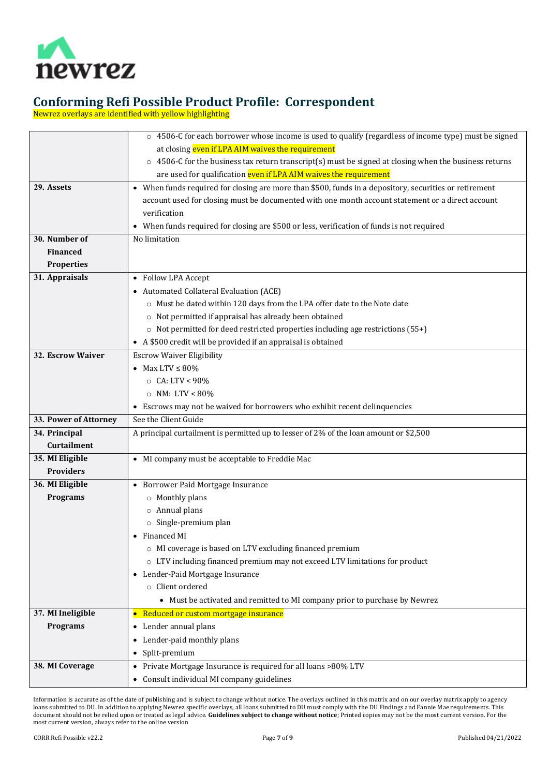

Newrez overlays are identified with yellow highlighting

<span id="page-6-9"></span><span id="page-6-8"></span><span id="page-6-7"></span><span id="page-6-6"></span><span id="page-6-5"></span><span id="page-6-4"></span><span id="page-6-3"></span><span id="page-6-2"></span><span id="page-6-1"></span><span id="page-6-0"></span>

|                       | ○ 4506-C for each borrower whose income is used to qualify (regardless of income type) must be signed           |
|-----------------------|-----------------------------------------------------------------------------------------------------------------|
|                       | at closing even if LPA AIM waives the requirement                                                               |
|                       | 4506-C for the business tax return transcript(s) must be signed at closing when the business returns<br>$\circ$ |
|                       | are used for qualification even if LPA AIM waives the requirement                                               |
| 29. Assets            | • When funds required for closing are more than \$500, funds in a depository, securities or retirement          |
|                       | account used for closing must be documented with one month account statement or a direct account                |
|                       | verification                                                                                                    |
|                       | • When funds required for closing are \$500 or less, verification of funds is not required                      |
| 30. Number of         | No limitation                                                                                                   |
| Financed              |                                                                                                                 |
| <b>Properties</b>     |                                                                                                                 |
| 31. Appraisals        | • Follow LPA Accept                                                                                             |
|                       | • Automated Collateral Evaluation (ACE)                                                                         |
|                       | o Must be dated within 120 days from the LPA offer date to the Note date                                        |
|                       | o Not permitted if appraisal has already been obtained                                                          |
|                       | $\circ$ Not permitted for deed restricted properties including age restrictions (55+)                           |
|                       | • A \$500 credit will be provided if an appraisal is obtained                                                   |
| 32. Escrow Waiver     | <b>Escrow Waiver Eligibility</b>                                                                                |
|                       | • Max LTV $\leq 80\%$                                                                                           |
|                       | $\circ$ CA: LTV < 90%                                                                                           |
|                       | $\circ$ NM: LTV < 80%                                                                                           |
|                       | • Escrows may not be waived for borrowers who exhibit recent delinquencies                                      |
| 33. Power of Attorney | See the Client Guide                                                                                            |
| 34. Principal         | A principal curtailment is permitted up to lesser of 2% of the loan amount or \$2,500                           |
| <b>Curtailment</b>    |                                                                                                                 |
| 35. MI Eligible       | • MI company must be acceptable to Freddie Mac                                                                  |
| <b>Providers</b>      |                                                                                                                 |
| 36. MI Eligible       | • Borrower Paid Mortgage Insurance                                                                              |
| <b>Programs</b>       | $\circ$ Monthly plans                                                                                           |
|                       | $\circ$ Annual plans                                                                                            |
|                       | $\circ$ Single-premium plan                                                                                     |
|                       | • Financed MI                                                                                                   |
|                       | o MI coverage is based on LTV excluding financed premium                                                        |
|                       | o LTV including financed premium may not exceed LTV limitations for product                                     |
|                       | • Lender-Paid Mortgage Insurance                                                                                |
|                       | o Client ordered                                                                                                |
|                       | • Must be activated and remitted to MI company prior to purchase by Newrez                                      |
| 37. MI Ineligible     | • Reduced or custom mortgage insurance                                                                          |
| <b>Programs</b>       | • Lender annual plans                                                                                           |
|                       | • Lender-paid monthly plans                                                                                     |
|                       | • Split-premium                                                                                                 |
| 38. MI Coverage       | • Private Mortgage Insurance is required for all loans >80% LTV                                                 |
|                       | • Consult individual MI company guidelines                                                                      |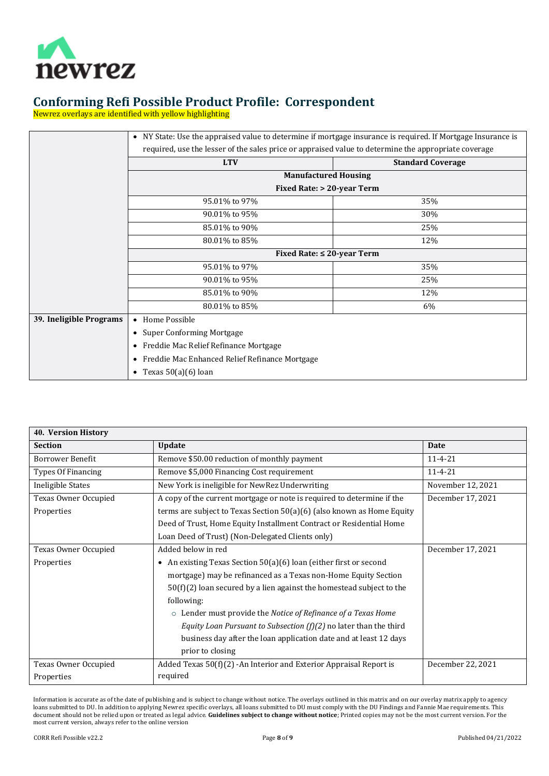

Newrez overlays are identified with yellow highlighting

|                         | • NY State: Use the appraised value to determine if mortgage insurance is required. If Mortgage Insurance is |     |  |  |
|-------------------------|--------------------------------------------------------------------------------------------------------------|-----|--|--|
|                         | required, use the lesser of the sales price or appraised value to determine the appropriate coverage         |     |  |  |
|                         | <b>LTV</b><br><b>Standard Coverage</b>                                                                       |     |  |  |
|                         | <b>Manufactured Housing</b>                                                                                  |     |  |  |
|                         | <b>Fixed Rate: &gt; 20-year Term</b>                                                                         |     |  |  |
|                         | 95.01% to 97%<br>35%                                                                                         |     |  |  |
|                         | 90.01% to 95%<br>30%                                                                                         |     |  |  |
|                         | 85.01% to 90%<br>25%                                                                                         |     |  |  |
|                         | 12%                                                                                                          |     |  |  |
|                         | Fixed Rate: $\leq 20$ -year Term                                                                             |     |  |  |
|                         | 95.01% to 97%                                                                                                | 35% |  |  |
|                         | 90.01% to 95%                                                                                                | 25% |  |  |
|                         | 85.01% to 90%                                                                                                | 12% |  |  |
|                         | 80.01% to 85%                                                                                                | 6%  |  |  |
| 39. Ineligible Programs | • Home Possible                                                                                              |     |  |  |
|                         | • Super Conforming Mortgage                                                                                  |     |  |  |
|                         | • Freddie Mac Relief Refinance Mortgage                                                                      |     |  |  |
|                         | • Freddie Mac Enhanced Relief Refinance Mortgage                                                             |     |  |  |
|                         | • Texas $50(a)(6)$ loan                                                                                      |     |  |  |

<span id="page-7-1"></span><span id="page-7-0"></span>

| 40. Version History                                                 |                                                                                       |                   |  |  |
|---------------------------------------------------------------------|---------------------------------------------------------------------------------------|-------------------|--|--|
| <b>Section</b>                                                      | <b>Update</b>                                                                         | Date              |  |  |
| <b>Borrower Benefit</b>                                             | Remove \$50.00 reduction of monthly payment                                           | $11 - 4 - 21$     |  |  |
| Types Of Financing                                                  | Remove \$5,000 Financing Cost requirement                                             | $11 - 4 - 21$     |  |  |
| Ineligible States<br>New York is ineligible for NewRez Underwriting |                                                                                       | November 12, 2021 |  |  |
| Texas Owner Occupied                                                | A copy of the current mortgage or note is required to determine if the                | December 17, 2021 |  |  |
| Properties                                                          | terms are subject to Texas Section $50(a)(6)$ (also known as Home Equity              |                   |  |  |
|                                                                     | Deed of Trust, Home Equity Installment Contract or Residential Home                   |                   |  |  |
|                                                                     | Loan Deed of Trust) (Non-Delegated Clients only)                                      |                   |  |  |
| Texas Owner Occupied                                                | Added below in red                                                                    | December 17, 2021 |  |  |
| Properties                                                          | An existing Texas Section 50(a)(6) loan (either first or second<br>$\bullet$          |                   |  |  |
|                                                                     | mortgage) may be refinanced as a Texas non-Home Equity Section                        |                   |  |  |
|                                                                     | $50(f)(2)$ loan secured by a lien against the homestead subject to the                |                   |  |  |
|                                                                     | following:                                                                            |                   |  |  |
|                                                                     | $\circ$ Lender must provide the Notice of Refinance of a Texas Home                   |                   |  |  |
|                                                                     | <i>Equity Loan Pursuant to Subsection <math>(f)(2)</math> no later than the third</i> |                   |  |  |
|                                                                     | business day after the loan application date and at least 12 days                     |                   |  |  |
|                                                                     | prior to closing                                                                      |                   |  |  |
| Texas Owner Occupied                                                | Added Texas 50(f)(2) - An Interior and Exterior Appraisal Report is                   | December 22, 2021 |  |  |
| Properties                                                          | required                                                                              |                   |  |  |